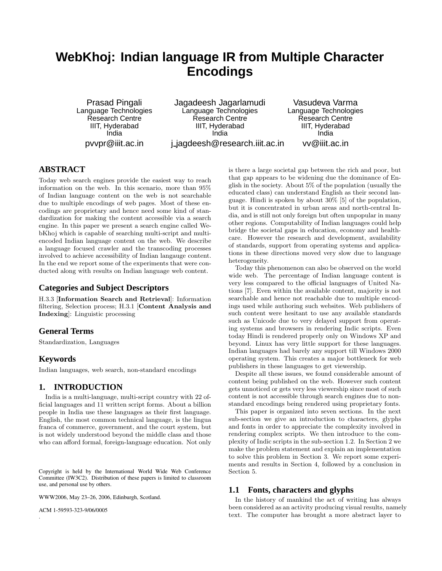# **WebKhoj: Indian language IR from Multiple Character Encodings**

Prasad Pingali Language Technologies Research Centre IIIT, Hyderabad India pvvpr@iiit.ac.in

Jagadeesh Jagarlamudi Language Technologies Research Centre IIIT, Hyderabad India j jagdeesh@research.iiit.ac.in

Vasudeva Varma Language Technologies Research Centre IIIT, Hyderabad India vv@iiit.ac.in

# **ABSTRACT**

Today web search engines provide the easiest way to reach information on the web. In this scenario, more than 95% of Indian language content on the web is not searchable due to multiple encodings of web pages. Most of these encodings are proprietary and hence need some kind of standardization for making the content accessible via a search engine. In this paper we present a search engine called WebKhoj which is capable of searching multi-script and multiencoded Indian language content on the web. We describe a language focused crawler and the transcoding processes involved to achieve accessibility of Indian langauge content. In the end we report some of the experiments that were conducted along with results on Indian language web content.

# **Categories and Subject Descriptors**

H.3.3 [Information Search and Retrieval]: Information filtering, Selection process; H.3.1 [Content Analysis and Indexing]: Linguistic processing

# **General Terms**

Standardization, Languages

# **Keywords**

Indian languages, web search, non-standard encodings

# **1. INTRODUCTION**

India is a multi-language, multi-script country with 22 official languages and 11 written script forms. About a billion people in India use these languages as their first language. English, the most common technical language, is the lingua franca of commerce, government, and the court system, but is not widely understood beyond the middle class and those who can afford formal, foreign-language education. Not only

Copyright is held by the International World Wide Web Conference Committee (IW3C2). Distribution of these papers is limited to classroom use, and personal use by others.

WWW2006, May 23–26, 2006, Edinburgh, Scotland.

ACM 1-59593-323-9/06/0005

.

is there a large societal gap between the rich and poor, but that gap appears to be widening due the dominance of English in the society. About 5% of the population (usually the educated class) can understand English as their second language. Hindi is spoken by about 30% [5] of the population, but it is concentrated in urban areas and north-central India, and is still not only foreign but often unpopular in many other regions. Computability of Indian languages could help bridge the societal gaps in education, economy and healthcare. However the research and development, availability of standards, support from operating systems and applications in these directions moved very slow due to language heterogeneity.

Today this phenomenon can also be observed on the world wide web. The percentage of Indian language content is very less compared to the official languages of United Nations [7]. Even within the available content, majority is not searchable and hence not reachable due to multiple encodings used while authoring such websites. Web publishers of such content were hesitant to use any available standards such as Unicode due to very delayed support from operating systems and browsers in rendering Indic scripts. Even today Hindi is rendered properly only on Windows XP and beyond. Linux has very little support for these languages. Indian languages had barely any support till Windows 2000 operating system. This creates a major bottleneck for web publishers in these languages to get viewership.

Despite all these issues, we found considerable amount of content being published on the web. However such content gets unnoticed or gets very less viewership since most of such content is not accessible through search engines due to nonstandard encodings being rendered using proprietary fonts.

This paper is organized into seven sections. In the next sub-section we give an introduction to characters, glyphs and fonts in order to appreciate the complexity involved in rendering complex scripts. We then introduce to the complexity of Indic scripts in the sub-section 1.2. In Section 2 we make the problem statement and explain an implementation to solve this problem in Section 3. We report some experiments and results in Section 4, followed by a conclusion in Section 5.

## **1.1 Fonts, characters and glyphs**

In the history of mankind the act of writing has always been considered as an activity producing visual results, namely text. The computer has brought a more abstract layer to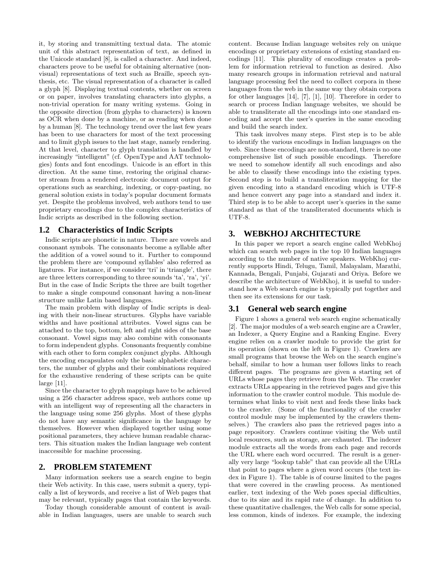it, by storing and transmitting textual data. The atomic unit of this abstract representation of text, as defined in the Unicode standard [8], is called a character. And indeed, characters prove to be useful for obtaining alternative (nonvisual) representations of text such as Braille, speech synthesis, etc. The visual representation of a character is called a glyph [8]. Displaying textual contents, whether on screen or on paper, involves translating characters into glyphs, a non-trivial operation for many writing systems. Going in the opposite direction (from glyphs to characters) is known as OCR when done by a machine, or as reading when done by a human [8]. The technology trend over the last few years has been to use characters for most of the text processing and to limit glyph issues to the last stage, namely rendering. At that level, character to glyph translation is handled by increasingly "intelligent" (cf. OpenType and AAT technologies) fonts and font encodings. Unicode is an effort in this direction. At the same time, restoring the original character stream from a rendered electronic document output for operations such as searching, indexing, or copy-pasting, no general solution exists in today's popular document formats yet. Despite the problems involved, web authors tend to use proprietary encodings due to the complex characteristics of Indic scripts as described in the following section.

## **1.2 Characteristics of Indic Scripts**

Indic scripts are phonetic in nature. There are vowels and consonant symbols. The consonants become a syllable after the addition of a vowel sound to it. Further to compound the problem there are 'compound syllables' also referred as ligatures. For instance, if we consider 'tri' in 'triangle', there are three letters corresponding to three sounds 'ta', 'ra', 'yi'. But in the case of Indic Scripts the three are built together to make a single compound consonant having a non-linear structure unlike Latin based languages.

The main problem with display of Indic scripts is dealing with their non-linear structures. Glyphs have variable widths and have positional attributes. Vowel signs can be attached to the top, bottom, left and right sides of the base consonant. Vowel signs may also combine with consonants to form independent glyphs. Consonants frequently combine with each other to form complex conjunct glyphs. Although the encoding encapsulates only the basic alphabetic characters, the number of glyphs and their combinations required for the exhaustive rendering of these scripts can be quite large [11].

Since the character to glyph mappings have to be achieved using a 256 character address space, web authors come up with an intelligent way of representing all the characters in the language using some 256 glyphs. Most of these glyphs do not have any semantic significance in the language by themselves. However when displayed together using some positional parameters, they achieve human readable characters. This situation makes the Indian language web content inaccessible for machine processing.

## **2. PROBLEM STATEMENT**

Many information seekers use a search engine to begin their Web activity. In this case, users submit a query, typically a list of keywords, and receive a list of Web pages that may be relevant, typically pages that contain the keywords.

Today though considerable amount of content is available in Indian languages, users are unable to search such content. Because Indian language websites rely on unique encodings or proprietary extensions of existing standard encodings [11]. This plurality of encodings creates a problem for information retrieval to function as desired. Also many research groups in information retrieval and natural language processing feel the need to collect corpora in these languages from the web in the same way they obtain corpora for other languages [14], [7], [1], [10]. Therefore in order to search or process Indian language websites, we should be able to transliterate all the encodings into one standard encoding and accept the user's queries in the same encoding and build the search index.

This task involves many steps. First step is to be able to identify the various encodings in Indian languages on the web. Since these encodings are non-standard, there is no one comprehensive list of such possible encodings. Therefore we need to somehow identify all such encodings and also be able to classify these encodings into the existing types. Second step is to build a transliteration mapping for the given encoding into a standard encoding which is UTF-8 and hence convert any page into a standard and index it. Third step is to be able to accept user's queries in the same standard as that of the transliterated documents which is UTF-8.

# **3. WEBKHOJ ARCHITECTURE**

In this paper we report a search engine called WebKhoj which can search web pages in the top 10 Indian languages according to the number of native speakers. WebKhoj currently supports Hindi, Telugu, Tamil, Malayalam, Marathi, Kannada, Bengali, Punjabi, Gujarati and Oriya. Before we describe the architecture of WebKhoj, it is useful to understand how a Web search engine is typically put together and then see its extensions for our task.

## **3.1 General web search engine**

Figure 1 shows a general web search engine schematically [2]. The major modules of a web search engine are a Crawler, an Indexer, a Query Engine and a Ranking Engine. Every engine relies on a crawler module to provide the grist for its operation (shown on the left in Figure 1). Crawlers are small programs that browse the Web on the search engine's behalf, similar to how a human user follows links to reach different pages. The programs are given a starting set of URLs whose pages they retrieve from the Web. The crawler extracts URLs appearing in the retrieved pages and give this information to the crawler control module. This module determines what links to visit next and feeds these links back to the crawler. (Some of the functionality of the crawler control module may be implemented by the crawlers themselves.) The crawlers also pass the retrieved pages into a page repository. Crawlers continue visiting the Web until local resources, such as storage, are exhausted. The indexer module extracts all the words from each page and records the URL where each word occurred. The result is a generally very large "lookup table" that can provide all the URLs that point to pages where a given word occurs (the text index in Figure 1). The table is of course limited to the pages that were covered in the crawling process. As mentioned earlier, text indexing of the Web poses special difficulties, due to its size and its rapid rate of change. In addition to these quantitative challenges, the Web calls for some special, less common, kinds of indexes. For example, the indexing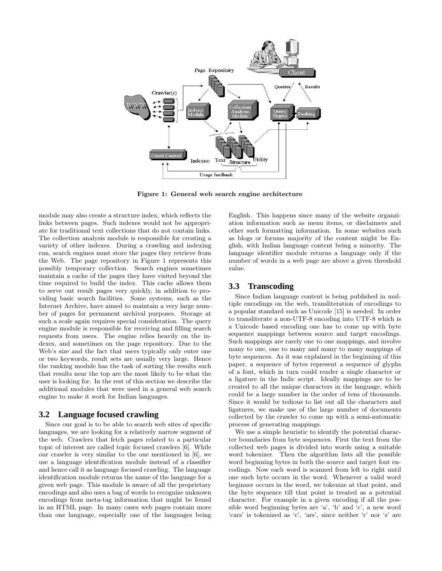

Figure 1: General web search engine architecture

module may also create a structure index, which reflects the links between pages. Such indexes would not be appropriate for traditional text collections that do not contain links. The collection analysis module is responsible for creating a variety of other indexes. During a crawling and indexing run, search engines must store the pages they retrieve from the Web. The page repository in Figure 1 represents this possibly temporary collection. Search engines sometimes maintain a cache of the pages they have visited beyond the time required to build the index. This cache allows them to serve out result pages very quickly, in addition to providing basic search facilities. Some systems, such as the Internet Archive, have aimed to maintain a very large number of pages for permanent archival purposes. Storage at such a scale again requires special consideration. The query engine module is responsible for receiving and filling search requests from users. The engine relies heavily on the indexes, and sometimes on the page repository. Due to the Web's size and the fact that users typically only enter one or two keywords, result sets are usually very large. Hence the ranking module has the task of sorting the results such that results near the top are the most likely to be what the user is looking for. In the rest of this section we describe the additional modules that were used in a general web search engine to make it work for Indian languages.

## **3.2 Language focused crawling**

Since our goal is to be able to search web sites of specific languages, we are looking for a relatively narrow segment of the web. Crawlers that fetch pages related to a particular topic of interest are called topic focused crawlers [6]. While our crawler is very similar to the one mentioned in [6], we use a language identification module instead of a classifier and hence call it as language focused crawling. The language identification module returns the name of the language for a given web page. This module is aware of all the proprietary encodings and also uses a bag of words to recognize unknown encodings from meta-tag information that might be found in an HTML page. In many cases web pages contain more than one language, especially one of the languages being English. This happens since many of the website organziation information such as menu items, or disclaimers and other such formatting information. In some websites such as blogs or forums majority of the content might be English, with Indian language content being a minority. The language identifier module returns a language only if the number of words in a web page are above a given threshold value.

## **3.3 Transcoding**

Since Indian language content is being published in multiple encodings on the web, transliteration of encodings to a popular standard such as Unicode [15] is needed. In order to transliterate a non-UTF-8 encoding into UTF-8 which is a Unicode based encoding one has to come up with byte sequence mappings between source and target encodings. Such mappings are rarely one to one mappings, and involve many to one, one to many and many to many mappings of byte sequences. As it was explained in the beginning of this paper, a sequence of bytes represent a sequence of glyphs of a font, which in turn could render a single character or a ligature in the Indic script. Ideally mappings are to be created to all the unique characters in the language, which could be a large number in the order of tens of thousands. Since it would be tedious to list out all the characters and ligatures, we make use of the large number of documents collected by the crawler to come up with a semi-automatic process of generating mappings.

We use a simple heuristic to identify the potential character boundaries from byte sequences. First the text from the collected web pages is divided into words using a suitable word tokenizer. Then the algorithm lists all the possible word beginning bytes in both the source and target font encodings. Now each word is scanned from left to right until one such byte occurs in the word. Whenever a valid word beginner occurs in the word, we tokenize at that point, and the byte sequence till that point is treated as a potential character. For example in a given encoding if all the possible word beginning bytes are 'a', 'b' and 'c', a new word 'cars' is tokenized as 'c', 'ars', since neither 'r' nor 's' are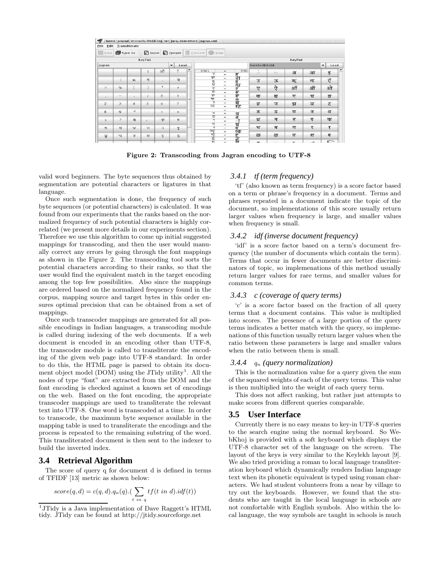| File                           | Edit Transliterate        |                          |                     |         |                |   |                       |                           |                      |                |        |                                  |              |                |
|--------------------------------|---------------------------|--------------------------|---------------------|---------|----------------|---|-----------------------|---------------------------|----------------------|----------------|--------|----------------------------------|--------------|----------------|
| Save.                          | <b>Convert</b><br>Save As |                          |                     |         |                |   |                       | Ston                      |                      |                |        |                                  |              |                |
|                                |                           |                          | <b>KeyPad</b>       |         |                |   |                       |                           |                      |                |        |                                  |              |                |
| Jagran<br>$\mathbf{v}$<br>Load |                           |                          |                     |         |                |   |                       |                           |                      | SansSerif.bold |        | $\overline{\phantom{a}}$<br>Load |              |                |
|                                |                           |                          |                     | ओ       |                | A | SYM <sub>1</sub><br>स | $\equiv$<br>$\equiv$      | SYM;                 | ٠<br>ŵ.        | 200    | 3 <sub>T</sub>                   | आ            | इ              |
|                                |                           | <b>SF</b>                | H                   | ×       | न              |   | ৰা<br>包               | $=$<br>$\sim$             | स जीव है।<br>समी     | $\overline{3}$ | ऊ      | 死                                | ल्ह          | ऍ              |
| $\times$                       | %                         |                          | $\mathcal{E}$       | *       | $+$            |   | श्च<br>रु<br>क्       | $=$<br>$\blacksquare$     |                      | ए              | ऐ      | ऑ                                | ओ            | ओ              |
| $\lambda$                      | $\overline{\phantom{0}}$  | ×.                       |                     | $\circ$ | 1              | E | क्ट<br>ক              | $=$<br>$\equiv$<br>$=$    | रू<br>रू<br>क        | क              | ख      | 丌                                | घ            | $\overline{S}$ |
| $\overline{2}$                 | 3                         | $\overline{4}$           | 5                   | 6       | $\overline{z}$ |   | Ŧ<br>स्ट              | $\equiv$<br>$=$           | स्ट                  | छ              | ज      | झ                                | ञ            | ざ              |
| s                              | 9                         | $\equiv$                 | A.                  | $\leq$  | $=$            |   | य                     | $\sim$<br>$\equiv$        | य<br>व               | ड              | ढ      | ण                                | त            | थ              |
| $\overline{ }$                 | Ž                         | 图                        | ×                   | ক্স     | ē              |   | ब<br>ਬ                | $\equiv$<br>$\sim$        | া                    | ध              | न      | न                                | प            | फ              |
| 包                              | $\mathbb{R}$              | स्त्र                    | $\overline{r}$      | П       | ङ              |   | τ<br>ष्क              | $=$<br>$\sim$<br>$\equiv$ | घ<br>ष<br><b>हके</b> | $\mathbf{F}$   | म      | य                                | τ            | र              |
| 臣                              | য                         | $\overline{\mathcal{C}}$ | $\overline{\alpha}$ | ह       | $\overline{5}$ |   | हो<br>हि              | $=$<br>$\equiv$           | ष्ट                  | ळ              | ळ      | ब                                | श            | ष              |
|                                |                           |                          |                     |         |                |   | ह्य                   | $\equiv$                  | ङ्ग                  | $\equiv$       | $\sim$ | $\mathbf{C}$                     | $\mathbf{r}$ | È              |

Figure 2: Transcoding from Jagran encoding to UTF-8

valid word beginners. The byte sequences thus obtained by segmentation are potential characters or ligatures in that language.

Once such segmentation is done, the frequency of such byte sequences (or potential characters) is calculated. It was found from our experiments that the ranks based on the normalized frequency of such potential characters is highly correlated (we present more details in our experiments section). Therefore we use this algorithm to come up initial suggested mappings for transcoding, and then the user would manually correct any errors by going through the font mappings as shown in the Figure 2. The transcoding tool sorts the potential characters according to their ranks, so that the user would find the equivalent match in the target encoding among the top few possibilities. Also since the mappings are ordered based on the normalized frequency found in the corpus, mapping source and target bytes in this order ensures optimal precision that can be obtained from a set of mappings.

Once such transcoder mappings are generated for all possible encodings in Indian languages, a transcoding module is called during indexing of the web documents. If a web document is encoded in an encoding other than UTF-8, the transcoder module is called to transliterate the encoding of the given web page into UTF-8 standard. In order to do this, the HTML page is parsed to obtain its document object model (DOM) using the JTidy utility<sup>1</sup>. All the nodes of type "font" are extracted from the DOM and the font encoding is checked against a known set of encodings on the web. Based on the font encoding, the appropriate transcoder mappings are used to transliterate the relevant text into UTF-8. One word is transcoded at a time. In order to transcode, the maximum byte sequence available in the mapping table is used to transliterate the encodings and the process is repeated to the remaining substring of the word. This transliterated document is then sent to the indexer to build the inverted index.

# **3.4 Retrieval Algorithm**

The score of query q for document d is defined in terms of TFIDF [13] metric as shown below:

$$
score(q, d) = c(q, d).q_n(q).(\sum_{t \ in \ q} tf(t \ in \ d).idf(t))
$$

#### *3.4.1 tf (term frequency)*

'tf' (also known as term frequency) is a score factor based on a term or phrase's frequency in a document. Terms and phrases repeated in a document indicate the topic of the document, so implementations of this score usually return larger values when frequency is large, and smaller values when frequency is small.

#### *3.4.2 idf (inverse document frequency)*

'idf' is a score factor based on a term's document frequency (the number of documents which contain the term). Terms that occur in fewer documents are better discriminators of topic, so implemenations of this method usually return larger values for rare terms, and smaller values for common terms.

## *3.4.3 c (coverage of query terms)*

'c' is a score factor based on the fraction of all query terms that a document contains. This value is multiplied into scores. The presence of a large portion of the query terms indicates a better match with the query, so implemenations of this function usually return larger values when the ratio between these parameters is large and smaller values when the ratio between them is small.

#### *3.4.4* q<sup>n</sup> *(query normalization)*

This is the normalization value for a query given the sum of the squared weights of each of the query terms. This value is then multiplied into the weight of each query term.

This does not affect ranking, but rather just attempts to make scores from different queries comparable.

#### **3.5 User Interface**

Currently there is no easy means to key-in UTF-8 queries to the search engine using the normal keyboard. So WebKhoj is provided with a soft keyboard which displays the UTF-8 character set of the language on the screen. The layout of the keys is very similar to the Keylekh layout [9]. We also tried providing a roman to local language transliteration keyboard which dynamically renders Indian language text when its phonetic equivalent is typed using roman characters. We had student volunteers from a near by village to try out the keyboards. However, we found that the students who are taught in the local language in schools are not comfortable with English symbols. Also within the local language, the way symbols are taught in schools is much

<sup>&</sup>lt;sup>1</sup>JTidy is a Java implementation of Dave Raggett's HTML tidy. JTidy can be found at http://jtidy.sourceforge.net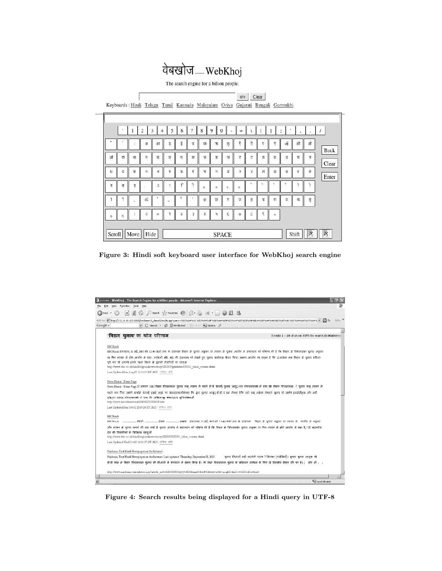

The search engine for a billion people.

खोज | Clear Keyboards : Hindi Telugu Tamil Kannada Malayalam Oriya Gujarati Bengali Gurmukhi

|          | $\mathcal{N}$           |      | $\overline{2}$           | 3<br>4         | 5              | 6              | 7                     | 8                    | 9<br>$\bf{0}$ | z            | $\equiv$  |                        |                   |                |                           | ٠      | ٠                    | $\prime$      |
|----------|-------------------------|------|--------------------------|----------------|----------------|----------------|-----------------------|----------------------|---------------|--------------|-----------|------------------------|-------------------|----------------|---------------------------|--------|----------------------|---------------|
| $\omega$ |                         | ĭ    | <b>3T</b>                | 31             | इ              | ई              | A                     | জ                    | 羽             | ऌ            | Ť         | एँ                     | ₹                 | ऐ              | ऑ                         | ओं     | ओ                    |               |
| औ        | क                       | ख    | ग<br>I                   | घ              | $\mathfrak{S}$ | 큌              | Ø                     | $\tilde{\mathbf{u}}$ | Ħ             | E.           | $\vec{c}$ | ₹                      | $\beta$           | $\overline{g}$ | $\overline{\mathfrak{G}}$ | ण      | $\overline{a}$<br>w. | Back<br>Clear |
| थ        | द                       | ध    | $\overline{\mathcal{H}}$ | $\overline{d}$ | Ч              | $\Pi$          | $\overline{q}$        | $^{\mathfrak{P}}$    | म             | य            | र         | र                      | ल                 | ळ              | $\overline{\omega}$       | व      | Ý                    | Enter         |
| Ų        | स                       | ğ    | I<br>$\sim$              | S              |                |                | ۹                     | $\circ$              | ٥             | ¢            | Ł.        | v                      | ٦                 |                | u                         | Ť<br>× | 7                    |               |
|          |                         | š,   | 35                       |                | z              | ×              | ٠                     | क्र                  | ख़            | ij           | ज़        | $\overline{\varsigma}$ | $\overline{\phi}$ | $\Psi$         | $\overline{\mathfrak{a}}$ | 死      | ङ्                   |               |
| ę        | $\overline{\mathbb{Q}}$ |      | II                       | $\circ$        | a              | $\overline{z}$ | $\overline{\partial}$ | 8                    | 4             | ξ            | Ø         | L                      | R                 | $\circ$        |                           |        |                      |               |
| Scroll   |                         | Move | Hide                     |                |                |                |                       |                      |               | <b>SPACE</b> |           |                        |                   |                |                           | Shift  | S.                   | $\mathbb{R}$  |

Figure 3: Hindi soft keyboard user interface for WebKhoj search engine



Figure 4: Search results being displayed for a Hindi query in UTF-8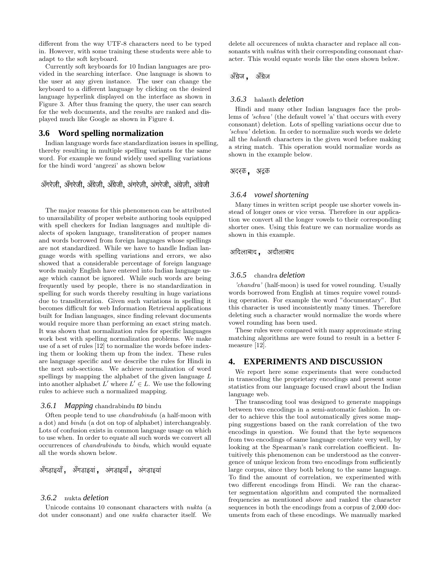different from the way UTF-8 characters need to be typed in. However, with some training these students were able to adapt to the soft keyboard.

Currently soft keyboards for 10 Indian languages are provided in the searching interface. One language is shown to the user at any given instance. The user can change the keyboard to a different language by clicking on the desired language hyperlink displayed on the interface as shown in Figure 3. After thus framing the query, the user can search for the web documents, and the results are ranked and displayed much like Google as shown in Figure 4.

#### **3.6 Word spelling normalization**

Indian language words face standardization issues in spelling, thereby resulting in multiple spelling variants for the same word. For example we found widely used spelling variations for the hindi word 'angrezi' as shown below

अँगरेज़ी, अँगरेजी, अँग्रेज़ी, अँग्रेजी, अंगरेज़ी, अंगरेजी, अंग्रेज़ी, अंग्रेजी

The major reasons for this phenomenon can be attributed to unavailability of proper website authoring tools equipped with spell checkers for Indian languages and multiple dialects of spoken language, transliteration of proper names and words borrowed from foreign languages whose spellings are not standardized. While we have to handle Indian language words with spelling variations and errors, we also showed that a considerable percentage of foreign language words mainly English have entered into Indian language usage which cannot be ignored. While such words are being frequently used by people, there is no standardization in spelling for such words thereby resulting in huge variations due to transliteration. Given such variations in spelling it becomes difficult for web Information Retrieval applications built for Indian languages, since finding relevant documents would require more than performing an exact string match. It was shown that normalization rules for specific languages work best with spelling normalization problems. We make use of a set of rules [12] to normalize the words before indexing them or looking them up from the index. These rules are language specific and we describe the rules for Hindi in the next sub-sections. We achieve normalization of word spellings by mapping the alphabet of the given language  $L$ into another alphabet L' where  $L' \in L$ . We use the following rules to achieve such a normalized mapping.

#### *3.6.1 Mapping* chandrabindu *to* bindu

Often people tend to use chandrabindu (a half-moon with a dot) and bindu (a dot on top of alphabet) interchangeably. Lots of confusion exists in common language usage on which to use when. In order to equate all such words we convert all occurrences of chandrabindu to bindu, which would equate all the words shown below.

#### *3.6.2* nukta *deletion*

Unicode contains 10 consonant characters with nukta (a dot under consonant) and one nukta character itself. We delete all occurences of nukta character and replace all consonants with *nuktas* with their corresponding consonant character. This would equate words like the ones shown below.

अँग्रेज, अँग्रेज़

## *3.6.3* halanth *deletion*

Hindi and many other Indian languages face the problems of 'schwa' (the default vowel 'a' that occurs with every consonant) deletion. Lots of spelling variations occur due to 'schwa' deletion. In order to normalize such words we delete all the halanth characters in the given word before making a string match. This operation would normalize words as shown in the example below.

अदरक अद्रक

#### *3.6.4 vowel shortening*

Many times in written script people use shorter vowels instead of longer ones or vice versa. Therefore in our application we convert all the longer vowels to their corresponding shorter ones. Using this feature we can normalize words as shown in this example.

## अदिलाबाद, अदीलाबाद

#### *3.6.5* chandra *deletion*

'chandra' (half-moon) is used for vowel rounding. Usually words borrowed from English at times require vowel rounding operation. For example the word "documentary". But this character is used inconsistently many times. Therefore deleting such a character would normalize the words where vowel rounding has been used.

These rules were compared with many approximate string matching algorithms are were found to result in a better fmeasure [12].

## **4. EXPERIMENTS AND DISCUSSION**

We report here some experiments that were conducted in transcoding the proprietary encodings and present some statistics from our language focused crawl about the Indian language web.

The transcoding tool was designed to generate mappings between two encodings in a semi-automatic fashion. In order to achieve this the tool automatically gives some mapping suggestions based on the rank correlation of the two encodings in question. We found that the byte sequences from two encodings of same language correlate very well, by looking at the Spearman's rank correlation coefficient. Intuitively this phenomenon can be understood as the convergence of unique lexicon from two encodings from sufficiently large corpus, since they both belong to the same language. To find the amount of correlation, we experimented with two different encodings from Hindi. We ran the character segmentation algorithm and computed the normalized frequencies as mentioned above and ranked the character sequences in both the encodings from a corpus of 2,000 documents from each of these encodings. We manually marked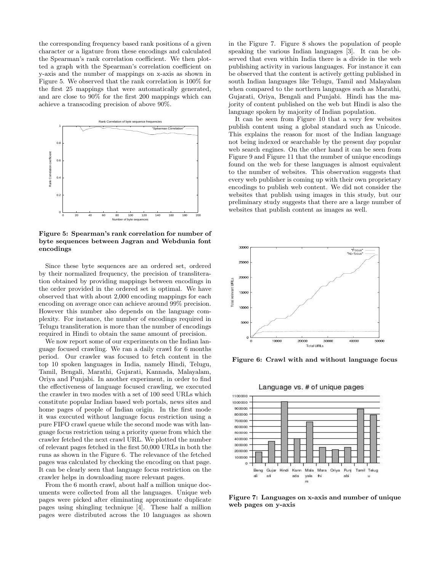the corresponding frequency based rank positions of a given character or a ligature from these encodings and calculated the Spearman's rank correlation coefficient. We then plotted a graph with the Spearman's correlation coefficient on y-axis and the number of mappings on x-axis as shown in Figure 5. We observed that the rank correlation is 100% for the first 25 mappings that were automatically generated, and are close to 90% for the first 200 mappings which can achieve a transcoding precision of above 90%.



Figure 5: Spearman's rank correlation for number of byte sequences between Jagran and Webdunia font encodings

Since these byte sequences are an ordered set, ordered by their normalized frequency, the precision of transliteration obtained by providing mappings between encodings in the order provided in the ordered set is optimal. We have observed that with about 2,000 encoding mappings for each encoding on average once can achieve around 99% precision. However this number also depends on the language complexity. For instance, the number of encodings required in Telugu transliteration is more than the number of encodings required in Hindi to obtain the same amount of precision.

We now report some of our experiments on the Indian language focused crawling. We ran a daily crawl for 6 months period. Our crawler was focused to fetch content in the top 10 spoken languages in India, namely Hindi, Telugu, Tamil, Bengali, Marathi, Gujarati, Kannada, Malayalam, Oriya and Punjabi. In another experiment, in order to find the effectiveness of language focused crawling, we executed the crawler in two modes with a set of 100 seed URLs which constitute popular Indian based web portals, news sites and home pages of people of Indian origin. In the first mode it was executed without language focus restriction using a pure FIFO crawl queue while the second mode was with language focus restriction using a priority queue from which the crawler fetched the next crawl URL. We plotted the number of relevant pages fetched in the first 50,000 URLs in both the runs as shown in the Figure 6. The relevance of the fetched pages was calculated by checking the encoding on that page. It can be clearly seen that language focus restriction on the crawler helps in downloading more relevant pages.

From the 6 month crawl, about half a million unique documents were collected from all the languages. Unique web pages were picked after eliminating approximate duplicate pages using shingling technique [4]. These half a million pages were distributed across the 10 languages as shown

in the Figure 7. Figure 8 shows the population of people speaking the various Indian languages [3]. It can be observed that even within India there is a divide in the web publishing activity in various languages. For instance it can be observed that the content is actively getting published in south Indian languages like Telugu, Tamil and Malayalam when compared to the northern languages such as Marathi, Gujarati, Oriya, Bengali and Punjabi. Hindi has the majority of content published on the web but Hindi is also the language spoken by majority of Indian population.

It can be seen from Figure 10 that a very few websites publish content using a global standard such as Unicode. This explains the reason for most of the Indian language not being indexed or searchable by the present day popular web search engines. On the other hand it can be seen from Figure 9 and Figure 11 that the number of unique encodings found on the web for these languages is almost equivalent to the number of websites. This observation suggests that every web publisher is coming up with their own proprietary encodings to publish web content. We did not consider the websites that publish using images in this study, but our preliminary study suggests that there are a large number of websites that publish content as images as well.



Figure 6: Crawl with and without language focus



Figure 7: Languages on x-axis and number of unique web pages on y-axis

Language vs. # of unique pages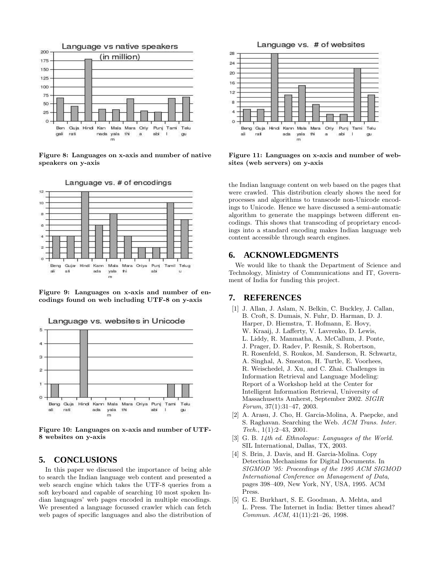

Figure 8: Languages on x-axis and number of native speakers on y-axis



Language vs. # of encodings

Figure 9: Languages on x-axis and number of encodings found on web including UTF-8 on y-axis



Figure 10: Languages on x-axis and number of UTF-8 websites on y-axis

# **5. CONCLUSIONS**

In this paper we discussed the importance of being able to search the Indian language web content and presented a web search engine which takes the UTF-8 queries from a soft keyboard and capable of searching 10 most spoken Indian languages' web pages encoded in multiple encodings. We presented a language focussed crawler which can fetch web pages of specific languages and also the distribution of





Figure 11: Languages on x-axis and number of websites (web servers) on y-axis

the Indian language content on web based on the pages that were crawled. This distribution clearly shows the need for processes and algorithms to transcode non-Unicode encodings to Unicode. Hence we have discussed a semi-automatic algorithm to generate the mappings between different encodings. This shows that transcoding of proprietary encodings into a standard encoding makes Indian language web content accessible through search engines.

## **6. ACKNOWLEDGMENTS**

We would like to thank the Department of Science and Technology, Ministry of Communications and IT, Government of India for funding this project.

# **7. REFERENCES**

- [1] J. Allan, J. Aslam, N. Belkin, C. Buckley, J. Callan, B. Croft, S. Dumais, N. Fuhr, D. Harman, D. J. Harper, D. Hiemstra, T. Hofmann, E. Hovy, W. Kraaij, J. Lafferty, V. Lavrenko, D. Lewis, L. Liddy, R. Manmatha, A. McCallum, J. Ponte, J. Prager, D. Radev, P. Resnik, S. Robertson, R. Rosenfeld, S. Roukos, M. Sanderson, R. Schwartz, A. Singhal, A. Smeaton, H. Turtle, E. Voorhees, R. Weischedel, J. Xu, and C. Zhai. Challenges in Information Retrieval and Language Modeling: Report of a Workshop held at the Center for Intelligent Information Retrieval, University of Massachusetts Amherst, September 2002. SIGIR Forum, 37(1):31–47, 2003.
- [2] A. Arasu, J. Cho, H. Garcia-Molina, A. Paepcke, and S. Raghavan. Searching the Web. ACM Trans. Inter. Tech., 1(1):2–43, 2001.
- [3] G. B. 14th ed. Ethnologue: Languages of the World. SIL International, Dallas, TX, 2003.
- [4] S. Brin, J. Davis, and H. Garcia-Molina. Copy Detection Mechanisms for Digital Documents. In SIGMOD '95: Proceedings of the 1995 ACM SIGMOD International Conference on Management of Data, pages 398–409, New York, NY, USA, 1995. ACM Press.
- [5] G. E. Burkhart, S. E. Goodman, A. Mehta, and L. Press. The Internet in India: Better times ahead? Commun. ACM, 41(11):21–26, 1998.